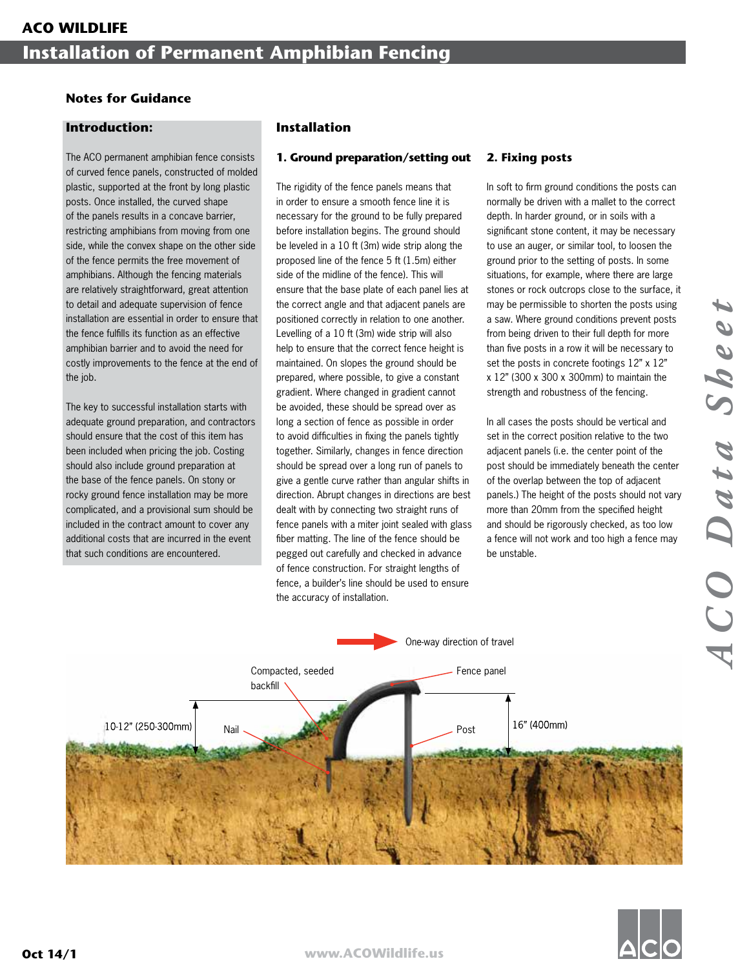# **Notes for Guidance**

## **Introduction:**

The ACO permanent amphibian fence consists of curved fence panels, constructed of molded plastic, supported at the front by long plastic posts. Once installed, the curved shape of the panels results in a concave barrier, restricting amphibians from moving from one side, while the convex shape on the other side of the fence permits the free movement of amphibians. Although the fencing materials are relatively straightforward, great attention to detail and adequate supervision of fence installation are essential in order to ensure that the fence fulfills its function as an effective amphibian barrier and to avoid the need for costly improvements to the fence at the end of the job.

The key to successful installation starts with adequate ground preparation, and contractors should ensure that the cost of this item has been included when pricing the job. Costing should also include ground preparation at the base of the fence panels. On stony or rocky ground fence installation may be more complicated, and a provisional sum should be included in the contract amount to cover any additional costs that are incurred in the event that such conditions are encountered.

# **Installation**

## **1. Ground preparation/setting out**

The rigidity of the fence panels means that in order to ensure a smooth fence line it is necessary for the ground to be fully prepared before installation begins. The ground should be leveled in a 10 ft (3m) wide strip along the proposed line of the fence 5 ft (1.5m) either side of the midline of the fence). This will ensure that the base plate of each panel lies at the correct angle and that adjacent panels are positioned correctly in relation to one another. Levelling of a 10 ft (3m) wide strip will also help to ensure that the correct fence height is maintained. On slopes the ground should be prepared, where possible, to give a constant gradient. Where changed in gradient cannot be avoided, these should be spread over as long a section of fence as possible in order to avoid difficulties in fixing the panels tightly together. Similarly, changes in fence direction should be spread over a long run of panels to give a gentle curve rather than angular shifts in direction. Abrupt changes in directions are best dealt with by connecting two straight runs of fence panels with a miter joint sealed with glass fiber matting. The line of the fence should be pegged out carefully and checked in advance of fence construction. For straight lengths of fence, a builder's line should be used to ensure the accuracy of installation.

# **2. Fixing posts**

In soft to firm ground conditions the posts can normally be driven with a mallet to the correct depth. In harder ground, or in soils with a significant stone content, it may be necessary to use an auger, or similar tool, to loosen the ground prior to the setting of posts. In some situations, for example, where there are large stones or rock outcrops close to the surface, it may be permissible to shorten the posts using a saw. Where ground conditions prevent posts from being driven to their full depth for more than five posts in a row it will be necessary to set the posts in concrete footings 12" x 12" x 12" (300 x 300 x 300mm) to maintain the strength and robustness of the fencing.

In all cases the posts should be vertical and set in the correct position relative to the two adjacent panels (i.e. the center point of the post should be immediately beneath the center of the overlap between the top of adjacent panels.) The height of the posts should not vary more than 20mm from the specified height and should be rigorously checked, as too low a fence will not work and too high a fence may be unstable.